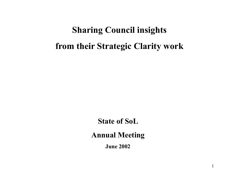# **Sharing Council insights from their Strategic Clarity work**

**State of SoL**

**Annual Meeting**

**June 2002**

1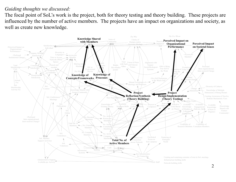The focal point of SoL's work is the project, both for theory testing and theory building. These projects are influenced by the number of active members. The projects have an impact on organizations and society, as well as create new knowledge.

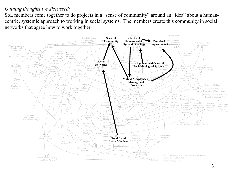SoL members come together to do projects in a "sense of community" around an "idea" about a humancentric, systemic approach to working in social systems. The members create this community in social networks that agree how to work together.

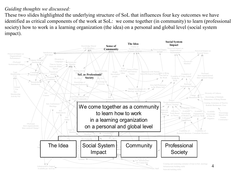These two slides highlighted the underlying structure of SoL that influences four key outcomes we have identified as critical components of the work at SoL: we come together (in community) to learn (professional society) how to work in a learning organization (the idea) on a personal and global level (social system impact).

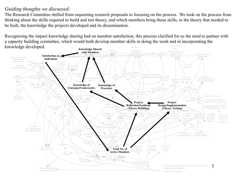The Research Committee shifted from requesting research proposals to focusing on the process. We took on the process from thinking about the skills required to build and test theory, and which members bring those skills, to the theory that needed to be built, the knowledge the projects developed and its dissemination.

The Idea Social System Impact Recognizing the impact knowledge sharing had on member satisfaction, this process clarified for us the need to partner with a capacity building committee, which would both develop member skills in doing the work and in incorporating the knowledge developed.